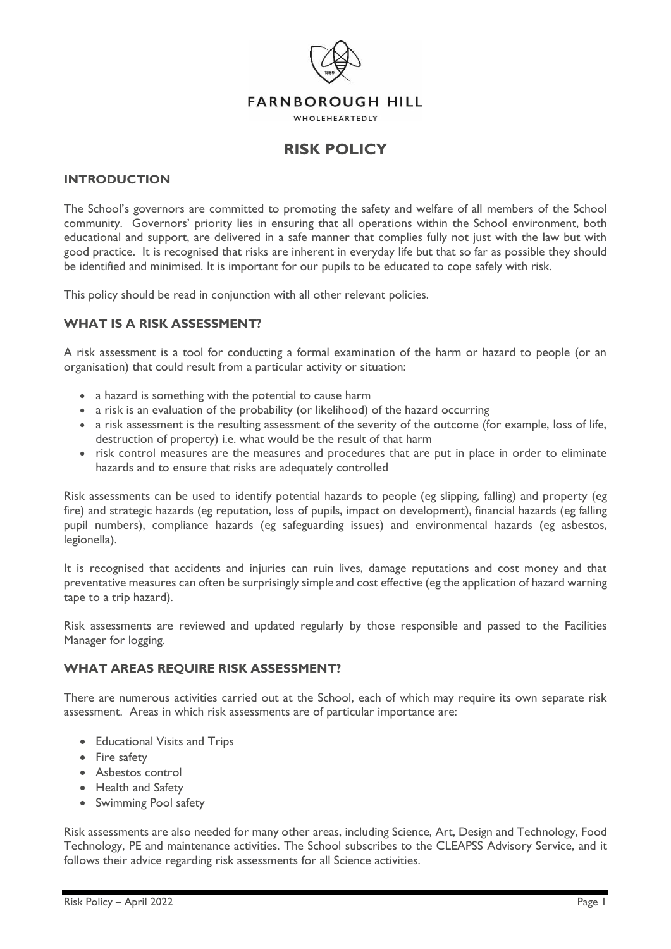

# **RISK POLICY**

#### **INTRODUCTION**

The School's governors are committed to promoting the safety and welfare of all members of the School community. Governors' priority lies in ensuring that all operations within the School environment, both educational and support, are delivered in a safe manner that complies fully not just with the law but with good practice. It is recognised that risks are inherent in everyday life but that so far as possible they should be identified and minimised. It is important for our pupils to be educated to cope safely with risk.

This policy should be read in conjunction with all other relevant policies.

### **WHAT IS A RISK ASSESSMENT?**

A risk assessment is a tool for conducting a formal examination of the harm or hazard to people (or an organisation) that could result from a particular activity or situation:

- a hazard is something with the potential to cause harm
- a risk is an evaluation of the probability (or likelihood) of the hazard occurring
- a risk assessment is the resulting assessment of the severity of the outcome (for example, loss of life, destruction of property) i.e. what would be the result of that harm
- risk control measures are the measures and procedures that are put in place in order to eliminate hazards and to ensure that risks are adequately controlled

Risk assessments can be used to identify potential hazards to people (eg slipping, falling) and property (eg fire) and strategic hazards (eg reputation, loss of pupils, impact on development), financial hazards (eg falling pupil numbers), compliance hazards (eg safeguarding issues) and environmental hazards (eg asbestos, legionella).

It is recognised that accidents and injuries can ruin lives, damage reputations and cost money and that preventative measures can often be surprisingly simple and cost effective (eg the application of hazard warning tape to a trip hazard).

Risk assessments are reviewed and updated regularly by those responsible and passed to the Facilities Manager for logging.

## **WHAT AREAS REQUIRE RISK ASSESSMENT?**

There are numerous activities carried out at the School, each of which may require its own separate risk assessment. Areas in which risk assessments are of particular importance are:

- Educational Visits and Trips
- Fire safety
- Asbestos control
- Health and Safety
- Swimming Pool safety

Risk assessments are also needed for many other areas, including Science, Art, Design and Technology, Food Technology, PE and maintenance activities. The School subscribes to the CLEAPSS Advisory Service, and it follows their advice regarding risk assessments for all Science activities.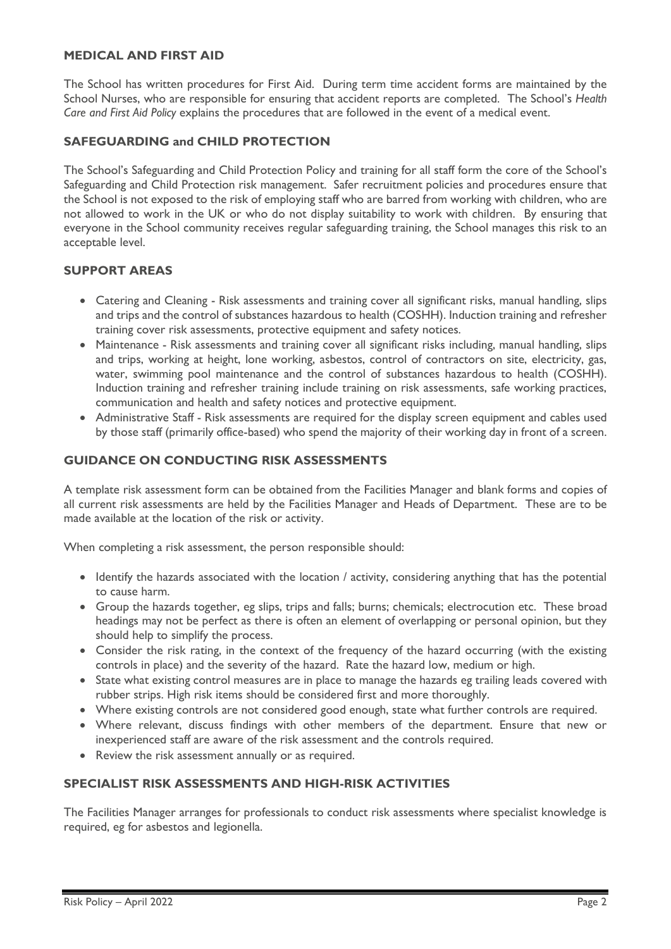## **MEDICAL AND FIRST AID**

The School has written procedures for First Aid. During term time accident forms are maintained by the School Nurses, who are responsible for ensuring that accident reports are completed. The School's *Health Care and First Aid Policy* explains the procedures that are followed in the event of a medical event.

## **SAFEGUARDING and CHILD PROTECTION**

The School's Safeguarding and Child Protection Policy and training for all staff form the core of the School's Safeguarding and Child Protection risk management. Safer recruitment policies and procedures ensure that the School is not exposed to the risk of employing staff who are barred from working with children, who are not allowed to work in the UK or who do not display suitability to work with children. By ensuring that everyone in the School community receives regular safeguarding training, the School manages this risk to an acceptable level.

## **SUPPORT AREAS**

- Catering and Cleaning Risk assessments and training cover all significant risks, manual handling, slips and trips and the control of substances hazardous to health (COSHH). Induction training and refresher training cover risk assessments, protective equipment and safety notices.
- Maintenance Risk assessments and training cover all significant risks including, manual handling, slips and trips, working at height, lone working, asbestos, control of contractors on site, electricity, gas, water, swimming pool maintenance and the control of substances hazardous to health (COSHH). Induction training and refresher training include training on risk assessments, safe working practices, communication and health and safety notices and protective equipment.
- Administrative Staff Risk assessments are required for the display screen equipment and cables used by those staff (primarily office-based) who spend the majority of their working day in front of a screen.

### **GUIDANCE ON CONDUCTING RISK ASSESSMENTS**

A template risk assessment form can be obtained from the Facilities Manager and blank forms and copies of all current risk assessments are held by the Facilities Manager and Heads of Department. These are to be made available at the location of the risk or activity.

When completing a risk assessment, the person responsible should:

- Identify the hazards associated with the location / activity, considering anything that has the potential to cause harm.
- Group the hazards together, eg slips, trips and falls; burns; chemicals; electrocution etc. These broad headings may not be perfect as there is often an element of overlapping or personal opinion, but they should help to simplify the process.
- Consider the risk rating, in the context of the frequency of the hazard occurring (with the existing controls in place) and the severity of the hazard. Rate the hazard low, medium or high.
- State what existing control measures are in place to manage the hazards eg trailing leads covered with rubber strips. High risk items should be considered first and more thoroughly.
- Where existing controls are not considered good enough, state what further controls are required.
- Where relevant, discuss findings with other members of the department. Ensure that new or inexperienced staff are aware of the risk assessment and the controls required.
- Review the risk assessment annually or as required.

## **SPECIALIST RISK ASSESSMENTS AND HIGH-RISK ACTIVITIES**

The Facilities Manager arranges for professionals to conduct risk assessments where specialist knowledge is required, eg for asbestos and legionella.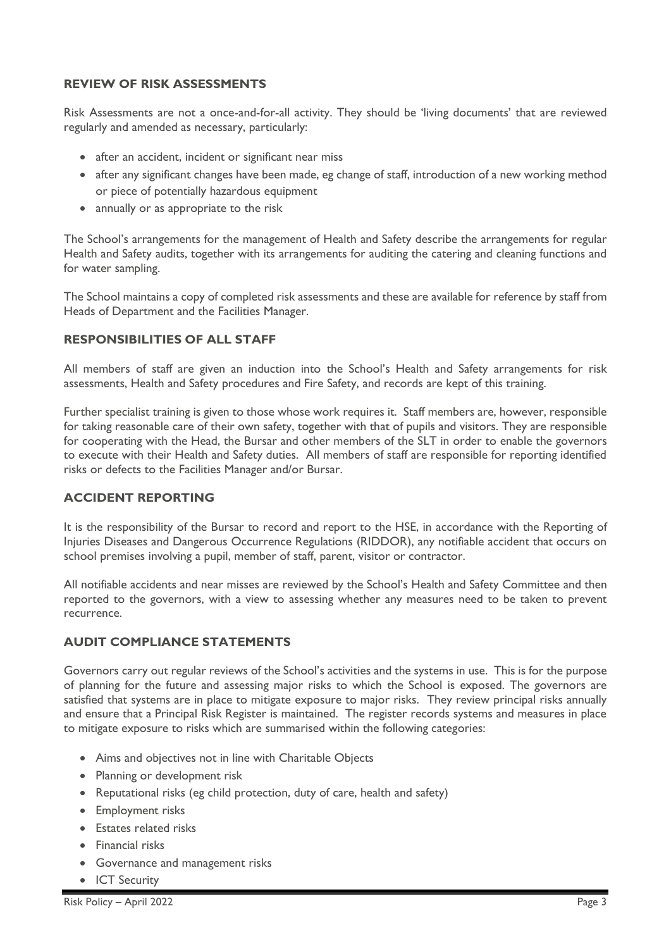## **REVIEW OF RISK ASSESSMENTS**

Risk Assessments are not a once-and-for-all activity. They should be 'living documents' that are reviewed regularly and amended as necessary, particularly:

- after an accident, incident or significant near miss
- after any significant changes have been made, eg change of staff, introduction of a new working method or piece of potentially hazardous equipment
- annually or as appropriate to the risk

The School's arrangements for the management of Health and Safety describe the arrangements for regular Health and Safety audits, together with its arrangements for auditing the catering and cleaning functions and for water sampling.

The School maintains a copy of completed risk assessments and these are available for reference by staff from Heads of Department and the Facilities Manager.

## **RESPONSIBILITIES OF ALL STAFF**

All members of staff are given an induction into the School's Health and Safety arrangements for risk assessments, Health and Safety procedures and Fire Safety, and records are kept of this training.

Further specialist training is given to those whose work requires it. Staff members are, however, responsible for taking reasonable care of their own safety, together with that of pupils and visitors. They are responsible for cooperating with the Head, the Bursar and other members of the SLT in order to enable the governors to execute with their Health and Safety duties. All members of staff are responsible for reporting identified risks or defects to the Facilities Manager and/or Bursar.

### **ACCIDENT REPORTING**

It is the responsibility of the Bursar to record and report to the HSE, in accordance with the Reporting of Injuries Diseases and Dangerous Occurrence Regulations (RIDDOR), any notifiable accident that occurs on school premises involving a pupil, member of staff, parent, visitor or contractor.

All notifiable accidents and near misses are reviewed by the School's Health and Safety Committee and then reported to the governors, with a view to assessing whether any measures need to be taken to prevent recurrence.

### **AUDIT COMPLIANCE STATEMENTS**

Governors carry out regular reviews of the School's activities and the systems in use. This is for the purpose of planning for the future and assessing major risks to which the School is exposed. The governors are satisfied that systems are in place to mitigate exposure to major risks. They review principal risks annually and ensure that a Principal Risk Register is maintained. The register records systems and measures in place to mitigate exposure to risks which are summarised within the following categories:

- Aims and objectives not in line with Charitable Objects
- Planning or development risk
- Reputational risks (eg child protection, duty of care, health and safety)
- Employment risks
- Estates related risks
- Financial risks
- Governance and management risks
- ICT Security